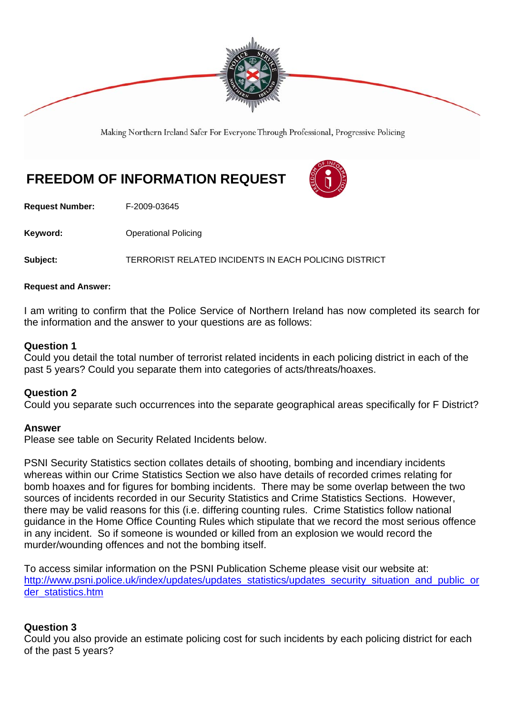

Making Northern Ireland Safer For Everyone Through Professional, Progressive Policing

# **FREEDOM OF INFORMATION REQUEST**



**Request Number:** F-2009-03645

**Keyword: C**Derational Policing

**Subject:** TERRORIST RELATED INCIDENTS IN EACH POLICING DISTRICT

### **Request and Answer:**

I am writing to confirm that the Police Service of Northern Ireland has now completed its search for the information and the answer to your questions are as follows:

### **Question 1**

Could you detail the total number of terrorist related incidents in each policing district in each of the past 5 years? Could you separate them into categories of acts/threats/hoaxes.

### **Question 2**

Could you separate such occurrences into the separate geographical areas specifically for F District?

### **Answer**

Please see table on Security Related Incidents below.

PSNI Security Statistics section collates details of shooting, bombing and incendiary incidents whereas within our Crime Statistics Section we also have details of recorded crimes relating for bomb hoaxes and for figures for bombing incidents. There may be some overlap between the two sources of incidents recorded in our Security Statistics and Crime Statistics Sections. However, there may be valid reasons for this (i.e. differing counting rules. Crime Statistics follow national guidance in the Home Office Counting Rules which stipulate that we record the most serious offence in any incident. So if someone is wounded or killed from an explosion we would record the murder/wounding offences and not the bombing itself.

To access similar information on the PSNI Publication Scheme please visit our website at: http://www.psni.police.uk/index/updates/updates\_statistics/updates\_security\_situation\_and\_public\_or der\_statistics.htm

### **Question 3**

Could you also provide an estimate policing cost for such incidents by each policing district for each of the past 5 years?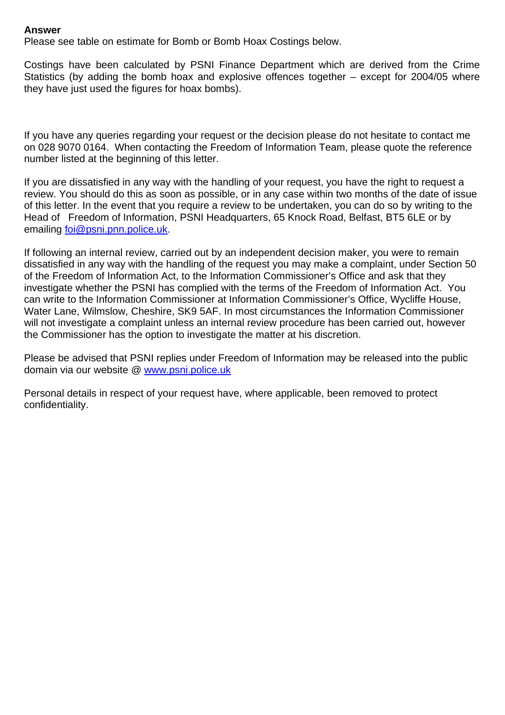### **Answer**

Please see table on estimate for Bomb or Bomb Hoax Costings below.

Costings have been calculated by PSNI Finance Department which are derived from the Crime Statistics (by adding the bomb hoax and explosive offences together – except for 2004/05 where they have just used the figures for hoax bombs).

If you have any queries regarding your request or the decision please do not hesitate to contact me on 028 9070 0164. When contacting the Freedom of Information Team, please quote the reference number listed at the beginning of this letter.

If you are dissatisfied in any way with the handling of your request, you have the right to request a review. You should do this as soon as possible, or in any case within two months of the date of issue of this letter. In the event that you require a review to be undertaken, you can do so by writing to the Head of Freedom of Information, PSNI Headquarters, 65 Knock Road, Belfast, BT5 6LE or by emailing foi@psni.pnn.police.uk.

If following an internal review, carried out by an independent decision maker, you were to remain dissatisfied in any way with the handling of the request you may make a complaint, under Section 50 of the Freedom of Information Act, to the Information Commissioner's Office and ask that they investigate whether the PSNI has complied with the terms of the Freedom of Information Act. You can write to the Information Commissioner at Information Commissioner's Office, Wycliffe House, Water Lane, Wilmslow, Cheshire, SK9 5AF. In most circumstances the Information Commissioner will not investigate a complaint unless an internal review procedure has been carried out, however the Commissioner has the option to investigate the matter at his discretion.

Please be advised that PSNI replies under Freedom of Information may be released into the public domain via our website @ www.psni.police.uk

Personal details in respect of your request have, where applicable, been removed to protect confidentiality.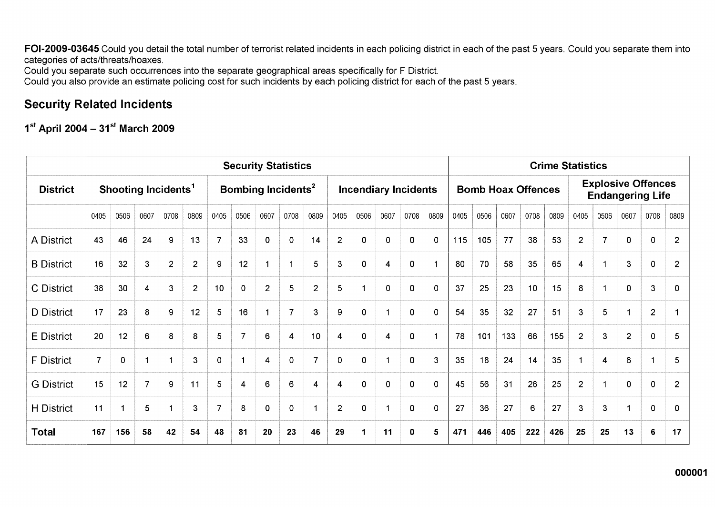FOI-2009-03645 Could you detail the total number of terrorist related incidents in each policing district in each of the past 5 years. Could you separate them into categories of acts/threats/hoaxes.

Could you separate such occurrences into the separate geographical areas specifically for F District.

Could you also provide an estimate policing cost for such incidents by each policing district for each of the past 5 years.

### **Security Related Incidents**

1st April 2004 - 31st March 2009

|                   | <b>Security Statistics</b>      |      |                  |                  |                |                                |                |                |                |                |                             | <b>Crime Statistics</b> |             |      |                           |      |      |      |      |                                                      |                |                |                |                |                |
|-------------------|---------------------------------|------|------------------|------------------|----------------|--------------------------------|----------------|----------------|----------------|----------------|-----------------------------|-------------------------|-------------|------|---------------------------|------|------|------|------|------------------------------------------------------|----------------|----------------|----------------|----------------|----------------|
| <b>District</b>   | Shooting Incidents <sup>1</sup> |      |                  |                  |                | Bombing Incidents <sup>2</sup> |                |                |                |                | <b>Incendiary Incidents</b> |                         |             |      | <b>Bomb Hoax Offences</b> |      |      |      |      | <b>Explosive Offences</b><br><b>Endangering Life</b> |                |                |                |                |                |
|                   | 0405                            | 0506 | 0607             | 0708             | 0809           | 0405                           | 0506           | 0607           | 0708           | 0809           | 0405                        | 0506                    | 0607        | 0708 | 0809                      | 0405 | 0506 | 0607 | 0708 | 0809                                                 | 0405           | 0506           | 0607           | 0708           | 0809           |
| A District        | 43                              | 46   | 24               | 9                | 13             | $\overline{7}$                 | 33             | $\mathbf 0$    | $\mathbf{O}$   | 14             | $\overline{2}$              | 0                       | $\mathbf 0$ | 0    | $\mathbf 0$               | 115  | 105  | 77   | 38   | 53                                                   | $\overline{2}$ | $\overline{7}$ | $\mathbf 0$    | 0              | $\overline{2}$ |
| <b>B</b> District | 16                              | 32   | $\mathbf{3}$     | $\overline{2}$   | $\overline{2}$ | 9                              | 12             | 1              |                | 5              | 3                           | 0                       | 4           | 0    |                           | 80   | 70   | 58   | 35   | 65                                                   | $\overline{4}$ | 1              | 3              | $\mathbf 0$    | $\overline{2}$ |
| C District        | 38                              | 30   | $\boldsymbol{4}$ | $\mathbf{3}$     | $\overline{2}$ | 10                             | 0              | $\overline{2}$ | 5              | $\overline{2}$ | 5                           | 1                       | $\Omega$    | 0    | $\mathbf 0$               | 37   | 25   | 23   | 10   | 15                                                   | 8              |                | $\mathbf 0$    | $\mathbf{3}$   | 0              |
| D District        | 17                              | 23   | 8                | $\boldsymbol{9}$ | 12             | 5                              | 16             | $\overline{1}$ | $\overline{7}$ | 3              | 9                           | 0                       |             | 0    | $\mathbf 0$               | 54   | 35   | 32   | 27   | 51                                                   | 3              | 5              |                | $\overline{2}$ |                |
| <b>E</b> District | 20                              | 12   | 6                | 8                | 8              | 5                              | $\overline{7}$ | 6              | 4              | 10             | 4                           | 0                       | 4           | 0    |                           | 78   | 101  | 133  | 66   | 155                                                  | $\overline{2}$ | 3              | $\overline{2}$ | $\mathbf 0$    | 5              |
| <b>F</b> District | $\overline{7}$                  | 0    |                  |                  | 3              | 0                              |                | 4              | 0              | 7              | $\Omega$                    | 0                       |             | 0    | 3                         | 35   | 18   | 24   | 14   | 35                                                   | -1             | 4              | 6              |                | 5              |
| <b>G</b> District | 15                              | 12   | $\overline{7}$   | 9                | 11             | 5                              | 4              | 6              | 6              | $\overline{4}$ | 4                           | 0                       | $\mathbf 0$ | 0    | $\mathbf 0$               | 45   | 56   | 31   | 26   | 25                                                   | $\overline{2}$ |                | $\mathbf{0}$   | 0              | $\overline{2}$ |
| <b>H</b> District | 11                              |      | 5                |                  | 3              | 7                              | 8              | $\mathbf 0$    | 0              |                | $\overline{2}$              | 0                       |             | 0    | 0                         | 27   | 36   | 27   | 6    | 27                                                   | $\mathbf{3}$   | 3              |                | 0              | 0              |
| <b>Total</b>      | 167                             | 156  | 58               | 42               | 54             | 48                             | 81             | 20             | 23             | 46             | 29                          | 1                       | 11          | 0    | 5                         | 471  | 446  | 405  | 222  | 426                                                  | 25             | 25             | 13             | $6\phantom{1}$ | 17             |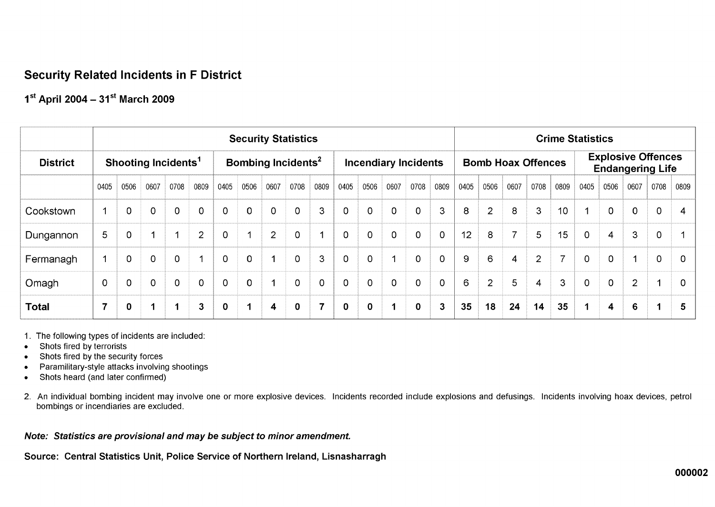# **Security Related Incidents in F District**

# $1^{st}$  April 2004 - 31st March 2009

|                 | <b>Security Statistics</b>      |                |                |             |                |                                |                      |                         |                |                             |                |                | <b>Crime Statistics</b> |                |                |      |                           |                |                                                      |                |                      |                |                |          |                |
|-----------------|---------------------------------|----------------|----------------|-------------|----------------|--------------------------------|----------------------|-------------------------|----------------|-----------------------------|----------------|----------------|-------------------------|----------------|----------------|------|---------------------------|----------------|------------------------------------------------------|----------------|----------------------|----------------|----------------|----------|----------------|
| <b>District</b> | Shooting Incidents <sup>1</sup> |                |                |             |                | Bombing Incidents <sup>2</sup> |                      |                         |                | <b>Incendiary Incidents</b> |                |                |                         |                |                |      | <b>Bomb Hoax Offences</b> |                | <b>Explosive Offences</b><br><b>Endangering Life</b> |                |                      |                |                |          |                |
|                 | 0405                            | 0506           | 0607           | 0708        | 0809           | 0405                           | 0506                 | 0607                    | 0708           | 0809                        | 0405           | 0506           | 0607                    | 0708           | 0809           | 0405 | 0506                      | 0607           | 0708                                                 | 0809           | 0405                 | 0506           | 0607           | 0708     | 0809           |
| Cookstown       | 1                               | $\overline{0}$ | $\Omega$       | $\Omega$    | 0              | $\Omega$                       | $\mathbf{0}$         | $\overline{0}$          | $\Omega$       | 3                           | $\overline{0}$ | $\Omega$       | $\Omega$                | $\overline{0}$ | 3 <sup>1</sup> | 8    | $\overline{2}$            | 8              | $\mathbf{3}$                                         | 10             |                      | $\Omega$       | $\mathbf 0$    | $\Omega$ | $\overline{4}$ |
| Dungannon       | 5                               | 0              |                | и           | $\overline{2}$ | $\mathbf 0$                    | $\blacktriangleleft$ | $\overline{2}$          | $\overline{0}$ |                             | $\overline{0}$ | 0              | $\mathbf 0$             | $\mathbf 0$    | $\overline{0}$ | 12   | 8                         | 7              | 5                                                    | 15             | $\mathbf 0$          | $\overline{4}$ | 3              | 0        | -1             |
| Fermanagh       | 1                               | 0              | $\overline{0}$ | $\Omega$    | 1              | $\Omega$                       | $\mathbf 0$          | $\blacktriangleleft$    | $\Omega$       | 3                           | $\Omega$       | $\overline{0}$ |                         | $\mathbf 0$    | $\Omega$       | 9    | 6                         | $\overline{4}$ | $\overline{2}$                                       | $\overline{z}$ | $\overline{0}$       | $\Omega$       | 1              | $\Omega$ | $\overline{0}$ |
| Omagh           | $\overline{0}$                  | $\mathbf 0$    | 0              | $\mathbf 0$ | 0              | 0                              | $\mathbf 0$          | $\overline{ }$          | 0              | $\mathbf 0$                 | $\overline{0}$ | 0              | 0                       | $\overline{0}$ | 0              | 6    | $\overline{2}$            | 5              | 4                                                    | 3              | $\Omega$             | $\overline{0}$ | $\overline{2}$ |          | $\overline{0}$ |
| <b>Total</b>    | $\overline{7}$                  | $\mathbf 0$    |                | $\mathbf 1$ | $\mathbf{3}$   | $\mathbf 0$                    | 1                    | $\overline{\mathbf{4}}$ | $\mathbf 0$    | $\overline{7}$              | $\mathbf 0$    | $\mathbf{0}$   | 1                       | $\mathbf 0$    | 3              | 35   | 18                        | 24             | 14                                                   | 35             | $\blacktriangleleft$ | 4              | 6              | -4       | -5             |

1. The following types of incidents are included:

- Shots fired by terrorists  $\bullet$
- Shots fired by the security forces  $\bullet$
- Paramilitary-style attacks involving shootings  $\bullet$
- Shots heard (and later confirmed)  $\bullet$
- 2. An individual bombing incident may involve one or more explosive devices. Incidents recorded include explosions and defusings. Incidents involving hoax devices, petrol bombings or incendiaries are excluded.

### Note: Statistics are provisional and may be subject to minor amendment.

Source: Central Statistics Unit, Police Service of Northern Ireland, Lisnasharragh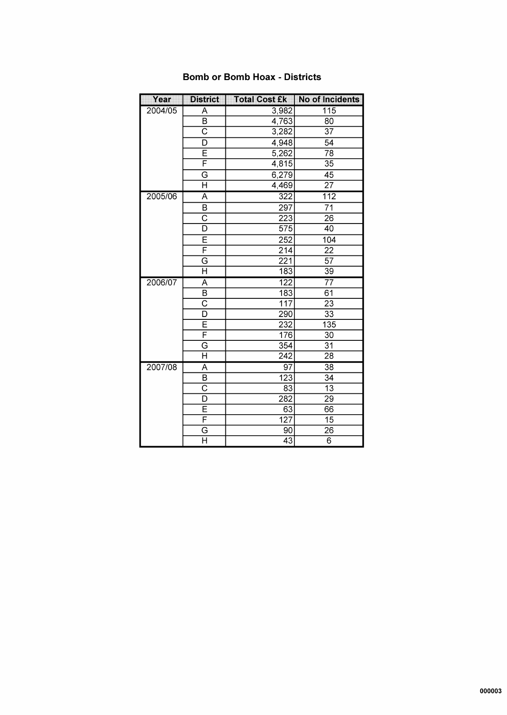| Year    | <b>District</b>         | <b>Total Cost £k</b> | <b>No of Incidents</b> |
|---------|-------------------------|----------------------|------------------------|
| 2004/05 | $\overline{\mathsf{A}}$ | 3,982                | 115                    |
|         | $\overline{\mathsf{B}}$ | 4,763                | $\overline{80}$        |
|         | $\overline{\text{c}}$   | 3,282                | $\overline{37}$        |
|         | D                       | 4,948                | $\overline{54}$        |
|         | Ē                       | 5,262                | $\overline{78}$        |
|         | F                       | 4,815                | $\overline{35}$        |
|         | G                       | 6,279                | $\overline{45}$        |
|         | H                       | 4,469                | $\overline{27}$        |
| 2005/06 | $\overline{\mathsf{A}}$ | $\overline{322}$     | 112                    |
|         | B                       | $\overline{297}$     | $\overline{71}$        |
|         | $\overline{\text{c}}$   | 223                  | 26                     |
|         | $\overline{\mathsf{D}}$ | $\overline{575}$     | 40                     |
|         | Ē                       | $\overline{252}$     | 104                    |
|         | F                       | $\overline{214}$     | $\overline{22}$        |
|         | G                       | 221                  | $\overline{57}$        |
|         | $\overline{\sf H}$      | 183                  | $\overline{39}$        |
| 2006/07 | $\overline{\mathsf{A}}$ | 122                  | $\overline{77}$        |
|         | В                       | 183                  | 61                     |
|         | $\overline{\text{c}}$   | $\overline{117}$     | $\overline{23}$        |
|         | D                       | 290                  | $\overline{33}$        |
|         | Ē                       | 232                  | $\overline{135}$       |
|         | F                       | 176                  | $\overline{30}$        |
|         | G                       | $\overline{354}$     | $\overline{31}$        |
|         | $\overline{\sf H}$      | $\overline{242}$     | $\overline{28}$        |
| 2007/08 | A                       | $\overline{97}$      | $\overline{38}$        |
|         | $\overline{\mathsf{B}}$ | $\overline{123}$     | $\overline{34}$        |
|         | $\overline{\text{c}}$   | $\overline{83}$      | $\overline{13}$        |
|         | D                       | 282                  | 29                     |
|         | Ē                       | 63                   | 66                     |
|         | F                       | $\overline{127}$     | $\overline{15}$        |
|         | $\overline{G}$          | 90                   | 26                     |
|         | $\overline{\sf H}$      | $\overline{43}$      | $\overline{6}$         |

### **Bomb or Bomb Hoax - Districts**